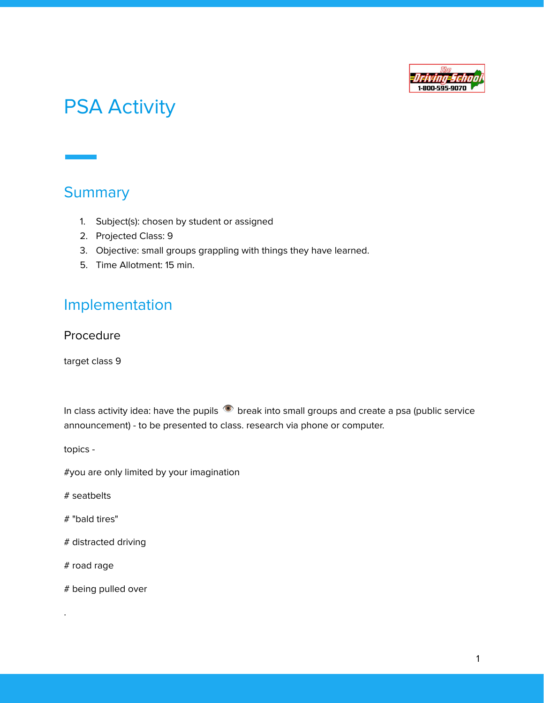

## PSA Activity

## **Summary**

- 1. Subject(s): chosen by student or assigned
- 2. Projected Class: 9
- 3. Objective: small groups grappling with things they have learned.
- 5. Time Allotment: 15 min.

## Implementation

## Procedure

target class 9

In class activity idea: have the pupils  $\bullet$  break into small groups and create a psa (public service announcement) - to be presented to class. research via phone or computer.

topics -

#you are only limited by your imagination

# seatbelts

# "bald tires"

# distracted driving

# road rage

.

# being pulled over